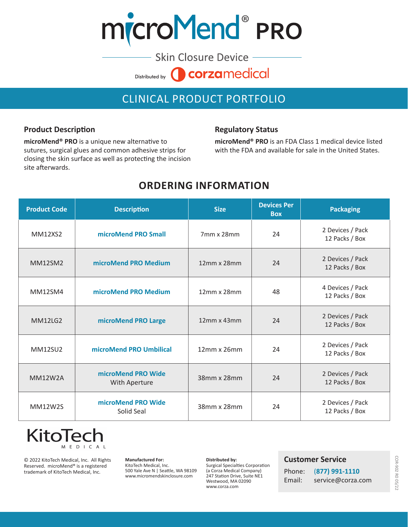# microMend® PRO

**Skin Closure Device** corzamedical Distributed by

# CLINICAL PRODUCT PORTFOLIO

#### **Product Description**

**microMend® PRO** is a unique new alternative to sutures, surgical glues and common adhesive strips for closing the skin surface as well as protecting the incision site afterwards.

#### **Regulatory Status**

**microMend® PRO** is an FDA Class 1 medical device listed with the FDA and available for sale in the United States.

### **ORDERING INFORMATION**

| <b>Product Code</b> | <b>Description</b>                  | <b>Size</b>        | <b>Devices Per</b><br><b>Box</b> | <b>Packaging</b>                   |
|---------------------|-------------------------------------|--------------------|----------------------------------|------------------------------------|
| <b>MM12XS2</b>      | microMend PRO Small                 | 7mm x 28mm         | 24                               | 2 Devices / Pack<br>12 Packs / Box |
| <b>MM12SM2</b>      | microMend PRO Medium                | 12mm x 28mm        | 24                               | 2 Devices / Pack<br>12 Packs / Box |
| <b>MM12SM4</b>      | microMend PRO Medium                | 12mm x 28mm        | 48                               | 4 Devices / Pack<br>12 Packs / Box |
| <b>MM12LG2</b>      | microMend PRO Large                 | $12mm \times 43mm$ | 24                               | 2 Devices / Pack<br>12 Packs / Box |
| <b>MM12SU2</b>      | microMend PRO Umbilical             | $12mm \times 26mm$ | 24                               | 2 Devices / Pack<br>12 Packs / Box |
| <b>MM12W2A</b>      | microMend PRO Wide<br>With Aperture | 38mm x 28mm        | 24                               | 2 Devices / Pack<br>12 Packs / Box |
| <b>MM12W2S</b>      | microMend PRO Wide<br>Solid Seal    | 38mm x 28mm        | 24                               | 2 Devices / Pack<br>12 Packs / Box |

## **KitoTe** MEDICAL

© 2022 KitoTech Medical, Inc. All Rights Reserved. microMend® is a registered trademark of KitoTech Medical, Inc.

**Manufactured For:** KitoTech Medical, Inc. 500 Yale Ave N | Seattle, WA 98109 www.micromendskinclosure.com

**Distributed by:** Surgical Specialties Corporation (a Corza Medical Company) 247 Station Drive, Suite NE1 Westwood, MA 02090 www.corza.com

#### **Customer Service**

| Phone: | (877) 991-1110    |
|--------|-------------------|
| Email: | service@corza.com |